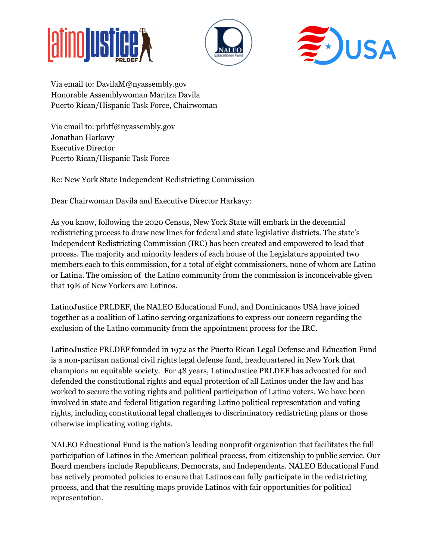





Via email to: DavilaM@nyassembly.gov Honorable Assemblywoman Maritza Davila Puerto Rican/Hispanic Task Force, Chairwoman

Via email to: [prhtf@nyassembly.gov](mailto:prhtf@nyassembly.gov) Jonathan Harkavy Executive Director Puerto Rican/Hispanic Task Force

Re: New York State Independent Redistricting Commission

Dear Chairwoman Davila and Executive Director Harkavy:

As you know, following the 2020 Census, New York State will embark in the decennial redistricting process to draw new lines for federal and state legislative districts. The state's Independent Redistricting Commission (IRC) has been created and empowered to lead that process. The majority and minority leaders of each house of the Legislature appointed two members each to this commission, for a total of eight commissioners, none of whom are Latino or Latina. The omission of the Latino community from the commission is inconceivable given that 19% of New Yorkers are Latinos.

LatinoJustice PRLDEF, the NALEO Educational Fund, and Dominicanos USA have joined together as a coalition of Latino serving organizations to express our concern regarding the exclusion of the Latino community from the appointment process for the IRC.

LatinoJustice PRLDEF founded in 1972 as the Puerto Rican Legal Defense and Education Fund is a non-partisan national civil rights legal defense fund, headquartered in New York that champions an equitable society. For 48 years, LatinoJustice PRLDEF has advocated for and defended the constitutional rights and equal protection of all Latinos under the law and has worked to secure the voting rights and political participation of Latino voters. We have been involved in state and federal litigation regarding Latino political representation and voting rights, including constitutional legal challenges to discriminatory redistricting plans or those otherwise implicating voting rights.

NALEO Educational Fund is the nation's leading nonprofit organization that facilitates the full participation of Latinos in the American political process, from citizenship to public service. Our Board members include Republicans, Democrats, and Independents. NALEO Educational Fund has actively promoted policies to ensure that Latinos can fully participate in the redistricting process, and that the resulting maps provide Latinos with fair opportunities for political representation.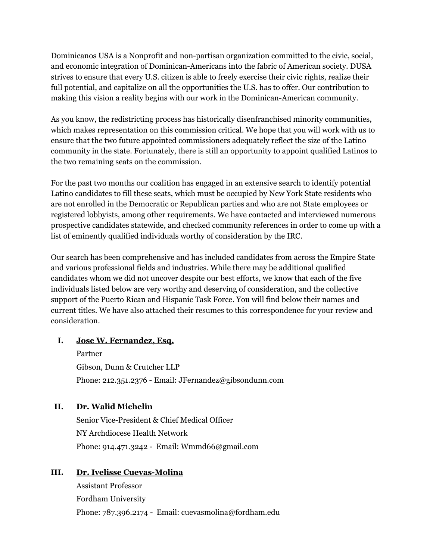Dominicanos USA is a Nonprofit and non-partisan organization committed to the civic, social, and economic integration of Dominican-Americans into the fabric of American society. DUSA strives to ensure that every U.S. citizen is able to freely exercise their civic rights, realize their full potential, and capitalize on all the opportunities the U.S. has to offer. Our contribution to making this vision a reality begins with our work in the Dominican-American community.

As you know, the redistricting process has historically disenfranchised minority communities, which makes representation on this commission critical. We hope that you will work with us to ensure that the two future appointed commissioners adequately reflect the size of the Latino community in the state. Fortunately, there is still an opportunity to appoint qualified Latinos to the two remaining seats on the commission.

For the past two months our coalition has engaged in an extensive search to identify potential Latino candidates to fill these seats, which must be occupied by New York State residents who are not enrolled in the Democratic or Republican parties and who are not State employees or registered lobbyists, among other requirements. We have contacted and interviewed numerous prospective candidates statewide, and checked community references in order to come up with a list of eminently qualified individuals worthy of consideration by the IRC.

Our search has been comprehensive and has included candidates from across the Empire State and various professional fields and industries. While there may be additional qualified candidates whom we did not uncover despite our best efforts, we know that each of the five individuals listed below are very worthy and deserving of consideration, and the collective support of the Puerto Rican and Hispanic Task Force. You will find below their names and current titles. We have also attached their resumes to this correspondence for your review and consideration.

## **I. Jose W. Fernandez, Esq.**

Partner Gibson, Dunn & Crutcher LLP Phone: 212.351.2376 - Email: [JFernandez@gibsondunn.com](mailto:JFernandez@gibsondunn.com)

# **II. Dr. Walid Michelin**

Senior Vice-President & Chief Medical Officer NY Archdiocese Health Network Phone: 914.471.3242 - Email: Wmmd66@gmail.com

# **III. Dr. Ivelisse Cuevas-Molina**

Assistant Professor Fordham University Phone: 787.396.2174 - Email: cuevasmolina@fordham.edu